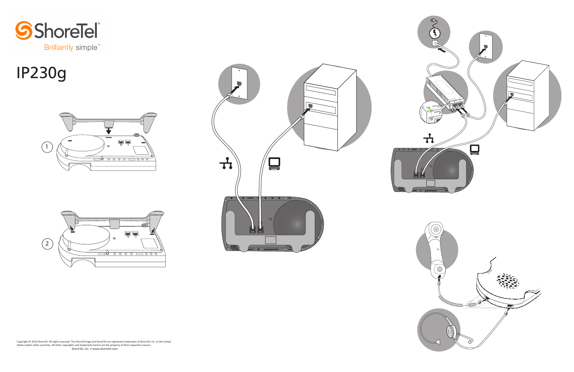



# IP230g